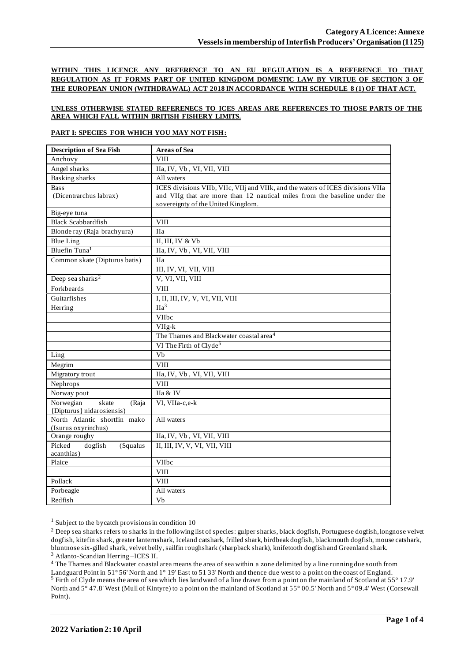**WITHIN THIS LICENCE ANY REFERENCE TO AN EU REGULATION IS A REFERENCE TO THAT REGULATION AS IT FORMS PART OF UNITED KINGDOM DOMESTIC LAW BY VIRTUE OF SECTION 3 OF THE EUROPEAN UNION (WITHDRAWAL) ACT 2018 IN ACCORDANCE WITH SCHEDULE 8 (1) OF THAT ACT.**

### **UNLESS OTHERWISE STATED REFERENECS TO ICES AREAS ARE REFERENCES TO THOSE PARTS OF THE AREA WHICH FALL WITHIN BRITISH FISHERY LIMITS.**

### **PART I: SPECIES FOR WHICH YOU MAY NOT FISH:**

| <b>Description of Sea Fish</b> | <b>Areas of Sea</b>                                                             |
|--------------------------------|---------------------------------------------------------------------------------|
| Anchovy                        | <b>VIII</b>                                                                     |
| Angel sharks                   | IIa, IV, Vb, VI, VII, VIII                                                      |
| Basking sharks                 | All waters                                                                      |
| <b>Bass</b>                    | ICES divisions VIIb, VIIc, VIIj and VIIk, and the waters of ICES divisions VIIa |
| (Dicentrarchus labrax)         | and VIIg that are more than 12 nautical miles from the baseline under the       |
|                                | sovereignty of the United Kingdom.                                              |
| Big-eye tuna                   |                                                                                 |
| <b>Black Scabbardfish</b>      | <b>VIII</b>                                                                     |
| Blonde ray (Raja brachyura)    | <b>IIa</b>                                                                      |
| <b>Blue Ling</b>               | II, III, IV $&$ Vb                                                              |
| Bluefin Tuna <sup>1</sup>      | IIa, IV, Vb, VI, VII, VIII                                                      |
| Common skate (Dipturus batis)  | <b>IIa</b>                                                                      |
|                                | III, IV, VI, VII, VIII                                                          |
| Deep sea sharks <sup>2</sup>   | V, VI, VII, VIII                                                                |
| Forkbeards                     | <b>VIII</b>                                                                     |
| Guitarfishes                   | I, II, III, IV, V, VI, VII, VIII                                                |
| Herring                        | $\Pi a^3$                                                                       |
|                                | VIIbc                                                                           |
|                                | $VIIg-k$                                                                        |
|                                | The Thames and Blackwater coastal area <sup>4</sup>                             |
|                                | VI The Firth of Clyde <sup>5</sup>                                              |
| Ling                           | V <sub>b</sub>                                                                  |
| Megrim                         | <b>VIII</b>                                                                     |
| Migratory trout                | IIa, IV, Vb, VI, VII, VIII                                                      |
| Nephrops                       | <b>VIII</b>                                                                     |
| Norway pout                    | IIa & IV                                                                        |
| Norwegian<br>skate<br>(Raja    | VI, VIIa-c,e-k                                                                  |
| {Dipturus} nidarosiensis)      |                                                                                 |
| North Atlantic shortfin mako   | All waters                                                                      |
| (Isurus oxyrinchus)            |                                                                                 |
| Orange roughy                  | IIa, IV, Vb, VI, VII, VIII                                                      |
| Picked<br>dogfish<br>(Squalus  | II, III, IV, V, VI, VII, VIII                                                   |
| acanthias)                     |                                                                                 |
| Plaice                         | VIIbc<br><b>VIII</b>                                                            |
|                                |                                                                                 |
| Pollack                        | <b>VIII</b>                                                                     |
| Porbeagle                      | All waters                                                                      |
| Redfish                        | Vb                                                                              |

 $1$  Subject to the bycatch provisions in condition 10

<sup>3</sup> Atlanto-Scandian Herring –ICES II.

<sup>4</sup> The Thames and Blackwater coastal area means the area of sea within a zone delimited by a line running due south from Landguard Point in 51° 56' North and 1° 19' East to 51 33' North and thence due west to a point on the coast of England. <sup>5</sup> Firth of Clyde means the area of sea which lies landward of a line drawn from a point on the mainland of Scotland at 55° 17.9' North and 5° 47.8' West (Mull of Kintyre) to a point on the mainland of Scotland at 55° 00.5' North and 5° 09.4' West (Corsewall Point).

<sup>&</sup>lt;sup>2</sup> Deep sea sharks refers to sharks in the following list of species: gulper sharks, black dogfish, Portuguese dogfish, longnose velvet dogfish, kitefin shark, greater lanternshark, Iceland catshark, frilled shark, birdbeak dogfish, blackmouth dogfish, mouse catshark, bluntnose six-gilled shark, velvet belly, sailfin roughshark (sharpback shark), knifetooth dogfish and Greenland shark.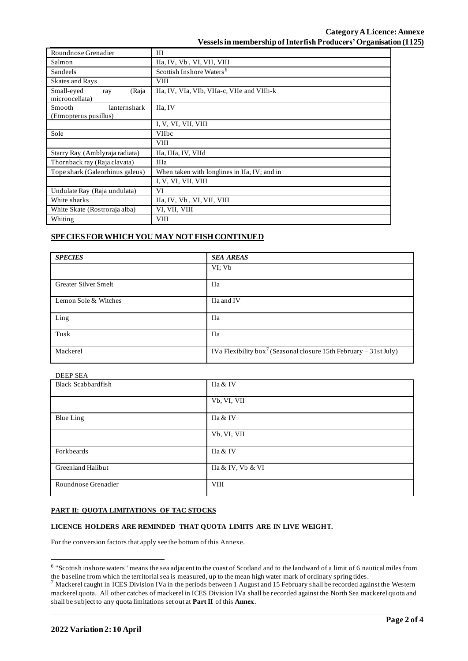| Roundnose Grenadier                             | Ш                                            |  |  |  |
|-------------------------------------------------|----------------------------------------------|--|--|--|
| Salmon                                          | IIa, IV, Vb, VI, VII, VIII                   |  |  |  |
| Sandeels                                        | Scottish Inshore Waters <sup>6</sup>         |  |  |  |
| Skates and Rays                                 | <b>VIII</b>                                  |  |  |  |
| Small-eyed<br>(Raja<br>ray<br>microocellata)    | IIa, IV, VIa, VIb, VIIa-c, VIIe and VIIh-k   |  |  |  |
| Smooth<br>lanternshark<br>(Etmopterus pusillus) | IIa, IV                                      |  |  |  |
|                                                 | I, V, VI, VII, VIII                          |  |  |  |
| Sole                                            | <b>VIIbc</b>                                 |  |  |  |
|                                                 | <b>VIII</b>                                  |  |  |  |
| Starry Ray (Amblyraja radiata)                  | IIa, IIIa, IV, VIId                          |  |  |  |
| Thornback ray (Raja clavata)                    | <b>IIIa</b>                                  |  |  |  |
| Tope shark (Galeorhinus galeus)                 | When taken with longlines in IIa, IV; and in |  |  |  |
|                                                 | I, V, VI, VII, VIII                          |  |  |  |
| Undulate Ray (Raja undulata)                    | VI                                           |  |  |  |
| White sharks                                    | IIa, IV, Vb, VI, VII, VIII                   |  |  |  |
| White Skate (Rostroraja alba)                   | VI, VII, VIII                                |  |  |  |
| Whiting                                         | <b>VIII</b>                                  |  |  |  |

# **SPECIES FOR WHICH YOU MAY NOT FISH CONTINUED**

| <b>SPECIES</b>       | <b>SEA AREAS</b>                                                              |
|----------------------|-------------------------------------------------------------------------------|
|                      | VI: Vb                                                                        |
| Greater Silver Smelt | <b>IIa</b>                                                                    |
| Lemon Sole & Witches | IIa and IV                                                                    |
| Ling                 | <b>IIa</b>                                                                    |
| Tusk                 | <b>IIa</b>                                                                    |
| Mackerel             | IVa Flexibility box <sup>7</sup> (Seasonal closure 15th February – 31st July) |

### DEEP SEA

| <b>Black Scabbardfish</b> | IIa & IV          |
|---------------------------|-------------------|
|                           | Vb, VI, VII       |
| <b>Blue Ling</b>          | IIa & IV          |
|                           | Vb, VI, VII       |
| Forkbeards                | IIa & IV          |
| Greenland Halibut         | IIa & IV, Vb & VI |
| Roundnose Grenadier       | <b>VIII</b>       |

#### **PART II: QUOTA LIMITATIONS OF TAC STOCKS**

#### **LICENCE HOLDERS ARE REMINDED THAT QUOTA LIMITS ARE IN LIVE WEIGHT.**

For the conversion factors that apply see the bottom of this Annexe.

<sup>&</sup>lt;sup>6</sup> "Scottish inshore waters" means the sea adjacent to the coast of Scotland and to the landward of a limit of 6 nautical miles from the baseline from which the territorial sea is measured, up to the mean high water mark of ordinary spring tides.

 $^7$  Mackerel caught in ICES Division IVa in the periods between 1 August and 15 February shall be recorded against the Western mackerel quota. All other catches of mackerel in ICES Division IVa shall be recorded against the North Sea mackerel quota and shall be subject to any quota limitations set out at **Part II** of this **Annex**.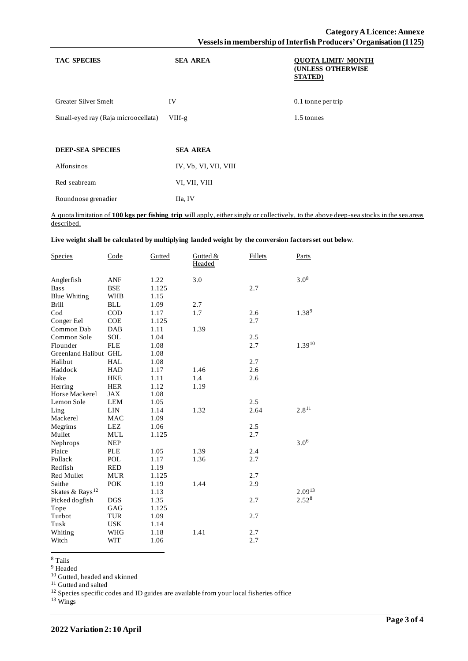| <b>TAC SPECIES</b>                  | <b>SEA AREA</b>       | <b>OUOTA LIMIT/ MONTH</b><br><b>(UNLESS OTHERWISE</b><br><b>STATED</b> ) |
|-------------------------------------|-----------------------|--------------------------------------------------------------------------|
| Greater Silver Smelt                | IV                    | $0.1$ tonne per trip                                                     |
| Small-eyed ray (Raja microocellata) | $VIIf-g$              | 1.5 tonnes                                                               |
|                                     |                       |                                                                          |
| <b>DEEP-SEA SPECIES</b>             | <b>SEA AREA</b>       |                                                                          |
| Alfonsinos                          | IV, Vb, VI, VII, VIII |                                                                          |
| Red seabream                        | VI, VII, VIII         |                                                                          |
| Roundnose grenadier                 | IIa, IV               |                                                                          |

A quota limitation of **100 kgs per fishing trip** will apply, either singly or collectively, to the above deep-sea stocks in the sea areas described.

## **Live weight shall be calculated by multiplying landed weight by the conversion factors set out below**.

| <b>Species</b>              | Code       | Gutted | Gutted &<br>Headed | Fillets | <b>Parts</b>     |
|-----------------------------|------------|--------|--------------------|---------|------------------|
| Anglerfish                  | ANF        | 1.22   | 3.0                |         | $3.0^{8}$        |
| <b>Bass</b>                 | <b>BSE</b> | 1.125  |                    | 2.7     |                  |
| <b>Blue Whiting</b>         | <b>WHB</b> | 1.15   |                    |         |                  |
| <b>Brill</b>                | <b>BLL</b> | 1.09   | 2.7                |         |                  |
| $\mathrm{Cod}$              | <b>COD</b> | 1.17   | 1.7                | 2.6     | 1.389            |
| Conger Eel                  | <b>COE</b> | 1.125  |                    | 2.7     |                  |
| Common Dab                  | <b>DAB</b> | 1.11   | 1.39               |         |                  |
| Common Sole                 | SOL        | 1.04   |                    | 2.5     |                  |
| Flounder                    | <b>FLE</b> | 1.08   |                    | 2.7     | $1.39^{10}$      |
| Greenland Halibut GHL       |            | 1.08   |                    |         |                  |
| Halibut                     | <b>HAL</b> | 1.08   |                    | 2.7     |                  |
| Haddock                     | <b>HAD</b> | 1.17   | 1.46               | 2.6     |                  |
| Hake                        | <b>HKE</b> | 1.11   | 1.4                | 2.6     |                  |
| Herring                     | <b>HER</b> | 1.12   | 1.19               |         |                  |
| Horse Mackerel              | JAX        | 1.08   |                    |         |                  |
| Lemon Sole                  | LEM        | 1.05   |                    | 2.5     |                  |
| Ling                        | LIN        | 1.14   | 1.32               | 2.64    | $2.8^{11}$       |
| Mackerel                    | <b>MAC</b> | 1.09   |                    |         |                  |
| Megrims                     | LEZ        | 1.06   |                    | 2.5     |                  |
| Mullet                      | <b>MUL</b> | 1.125  |                    | 2.7     |                  |
| Nephrops                    | <b>NEP</b> |        |                    |         | 3.0 <sup>6</sup> |
| Plaice                      | <b>PLE</b> | 1.05   | 1.39               | 2.4     |                  |
| Pollack                     | <b>POL</b> | 1.17   | 1.36               | 2.7     |                  |
| Redfish                     | <b>RED</b> | 1.19   |                    |         |                  |
| Red Mullet                  | <b>MUR</b> | 1.125  |                    | 2.7     |                  |
| Saithe                      | <b>POK</b> | 1.19   | 1.44               | 2.9     |                  |
| Skates & Rays <sup>12</sup> |            | 1.13   |                    |         | $2.09^{13}$      |
| Picked dogfish              | <b>DGS</b> | 1.35   |                    | 2.7     | $2.52^{8}$       |
| Tope                        | GAG        | 1.125  |                    |         |                  |
| Turbot                      | <b>TUR</b> | 1.09   |                    | 2.7     |                  |
| Tusk                        | <b>USK</b> | 1.14   |                    |         |                  |
| Whiting                     | WHG        | 1.18   | 1.41               | 2.7     |                  |
| Witch                       | <b>WIT</b> | 1.06   |                    | 2.7     |                  |

<sup>8</sup> Tails

<sup>9</sup> Headed

<sup>10</sup> Gutted, headed and skinned

<sup>11</sup> Gutted and salted

 $12$  Species specific codes and ID guides are available from your local fisheries office

<sup>13</sup> Wings